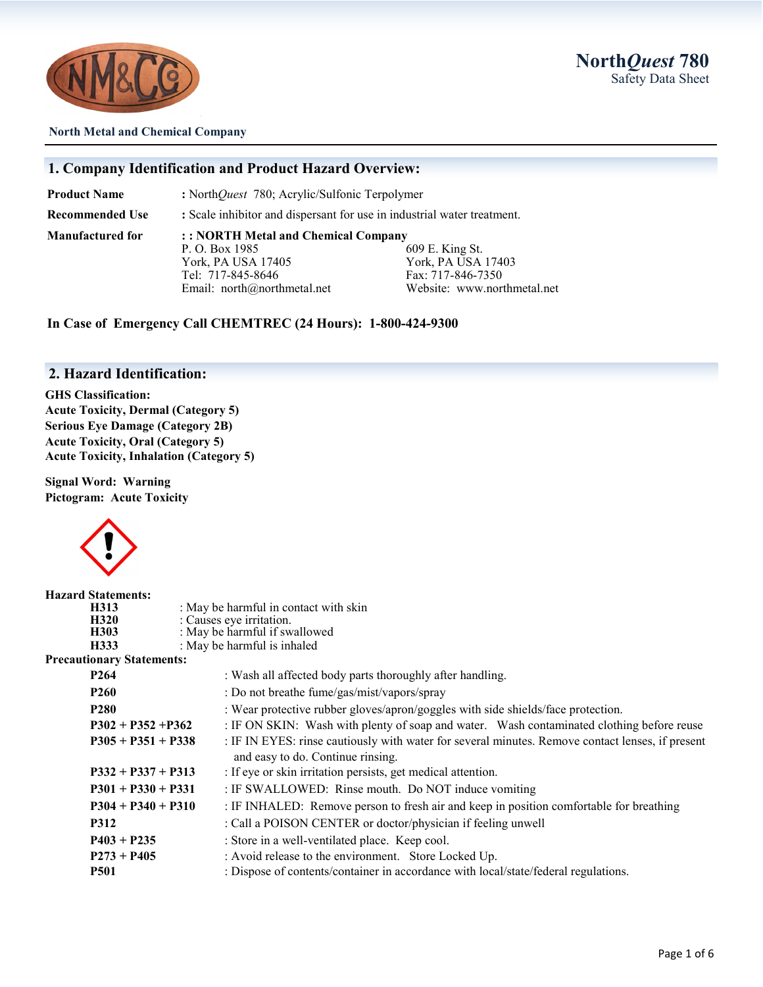



#### **North Metal and Chemical Company**

## **1. Company Identification and Product Hazard Overview:**

**Product Name :** North*Quest* 780; Acrylic/Sulfonic Terpolymer

**Recommended Use :** Scale inhibitor and dispersant for use in industrial water treatment.

**Manufactured for : : NORTH Metal and Chemical Company** P. O. Box 1985 609 E. King St. York, PA USA 17405 York, PA USA 17403

Tel: 717-845-8646 Fax: 717-846-7350 Email: north@northmetal.net Website: www.northmetal.net

**In Case of Emergency Call CHEMTREC (24 Hours): 1-800-424-9300**

## **2. Hazard Identification:**

**GHS Classification: Acute Toxicity, Dermal (Category 5) Serious Eye Damage (Category 2B) Acute Toxicity, Oral (Category 5) Acute Toxicity, Inhalation (Category 5)**

**Signal Word: Warning Pictogram: Acute Toxicity**



| <b>Hazard Statements:</b>        |                                                                                                                                       |
|----------------------------------|---------------------------------------------------------------------------------------------------------------------------------------|
| H313                             | : May be harmful in contact with skin                                                                                                 |
| H320                             | : Causes eye irritation.                                                                                                              |
| H303                             | : May be harmful if swallowed                                                                                                         |
| H333                             | : May be harmful is inhaled                                                                                                           |
| <b>Precautionary Statements:</b> |                                                                                                                                       |
| P <sub>264</sub>                 | : Wash all affected body parts thoroughly after handling.                                                                             |
| <b>P260</b>                      | : Do not breathe fume/gas/mist/vapors/spray                                                                                           |
| P <sub>280</sub>                 | : Wear protective rubber gloves/apron/goggles with side shields/face protection.                                                      |
| $P302 + P352 + P362$             | : IF ON SKIN: Wash with plenty of soap and water. Wash contaminated clothing before reuse                                             |
| $P305 + P351 + P338$             | : IF IN EYES: rinse cautiously with water for several minutes. Remove contact lenses, if present<br>and easy to do. Continue rinsing. |
| $P332 + P337 + P313$             | : If eye or skin irritation persists, get medical attention.                                                                          |
| $P301 + P330 + P331$             | : IF SWALLOWED: Rinse mouth. Do NOT induce vomiting                                                                                   |
| $P304 + P340 + P310$             | : IF INHALED: Remove person to fresh air and keep in position comfortable for breathing                                               |
| <b>P312</b>                      | : Call a POISON CENTER or doctor/physician if feeling unwell                                                                          |
| $P403 + P235$                    | : Store in a well-ventilated place. Keep cool.                                                                                        |
| $P273 + P405$                    | : Avoid release to the environment. Store Locked Up.                                                                                  |
| <b>P501</b>                      | : Dispose of contents/container in accordance with local/state/federal regulations.                                                   |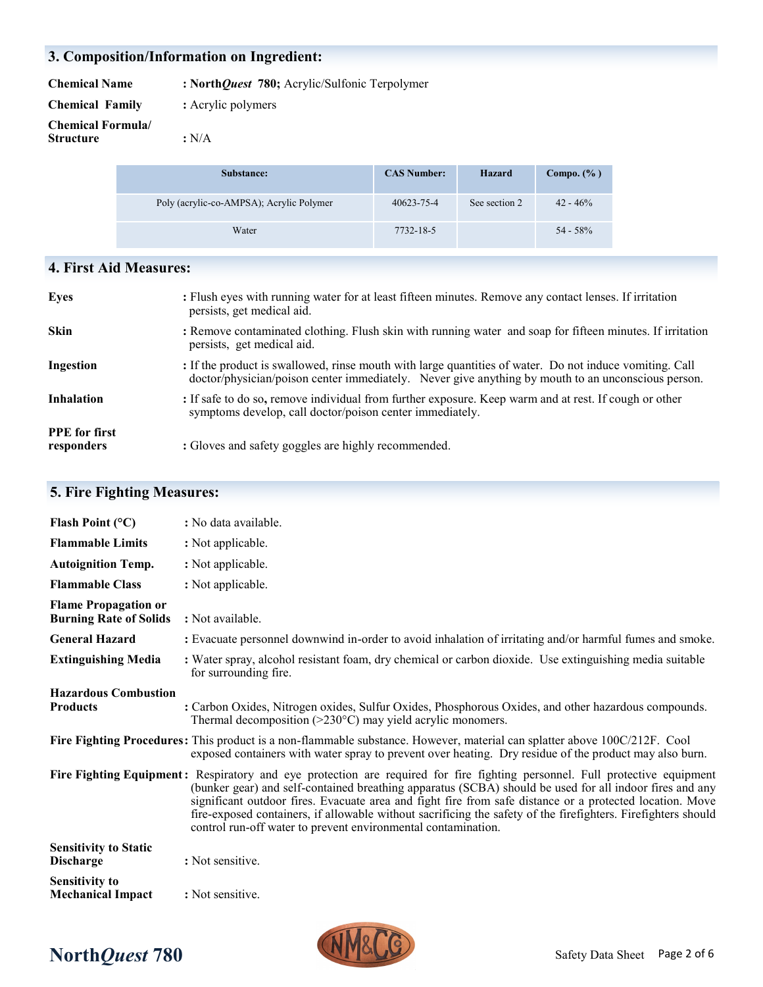# **3. Composition/Information on Ingredient:**

**Chemical Name : North***Quest* **780;** Acrylic/Sulfonic Terpolymer **Chemical Family :** Acrylic polymers **Chemical Formula/**

**Structure :** N/A

| Substance:                               | <b>CAS Number:</b> | <b>Hazard</b> | Compo. $(\% )$ |
|------------------------------------------|--------------------|---------------|----------------|
| Poly (acrylic-co-AMPSA); Acrylic Polymer | 40623-75-4         | See section 2 | $42 - 46%$     |
| Water                                    | 7732-18-5          |               | $54 - 58\%$    |

# **4. First Aid Measures:**

| <b>Eyes</b>                        | : Flush eyes with running water for at least fifteen minutes. Remove any contact lenses. If irritation<br>persists, get medical aid.                                                                          |
|------------------------------------|---------------------------------------------------------------------------------------------------------------------------------------------------------------------------------------------------------------|
| <b>Skin</b>                        | : Remove contaminated clothing. Flush skin with running water and soap for fifteen minutes. If irritation<br>persists, get medical aid.                                                                       |
| Ingestion                          | : If the product is swallowed, rinse mouth with large quantities of water. Do not induce vomiting. Call<br>doctor/physician/poison center immediately. Never give anything by mouth to an unconscious person. |
| <b>Inhalation</b>                  | : If safe to do so, remove individual from further exposure. Keep warm and at rest. If cough or other<br>symptoms develop, call doctor/poison center immediately.                                             |
| <b>PPE</b> for first<br>responders | : Gloves and safety goggles are highly recommended.                                                                                                                                                           |

## **5. Fire Fighting Measures:**

**North***Quest* **780** 

| Flash Point $(^{\circ}C)$                                    | : No data available.                                                                                                                                                                                                                                                                                                                                                                                                                                                                                                                 |
|--------------------------------------------------------------|--------------------------------------------------------------------------------------------------------------------------------------------------------------------------------------------------------------------------------------------------------------------------------------------------------------------------------------------------------------------------------------------------------------------------------------------------------------------------------------------------------------------------------------|
| <b>Flammable Limits</b>                                      | : Not applicable.                                                                                                                                                                                                                                                                                                                                                                                                                                                                                                                    |
| <b>Autoignition Temp.</b>                                    | : Not applicable.                                                                                                                                                                                                                                                                                                                                                                                                                                                                                                                    |
| <b>Flammable Class</b>                                       | : Not applicable.                                                                                                                                                                                                                                                                                                                                                                                                                                                                                                                    |
| <b>Flame Propagation or</b><br><b>Burning Rate of Solids</b> | : Not available.                                                                                                                                                                                                                                                                                                                                                                                                                                                                                                                     |
| <b>General Hazard</b>                                        | : Evacuate personnel downwind in-order to avoid inhalation of irritating and/or harmful fumes and smoke.                                                                                                                                                                                                                                                                                                                                                                                                                             |
| <b>Extinguishing Media</b>                                   | : Water spray, alcohol resistant foam, dry chemical or carbon dioxide. Use extinguishing media suitable<br>for surrounding fire.                                                                                                                                                                                                                                                                                                                                                                                                     |
| <b>Hazardous Combustion</b><br><b>Products</b>               | : Carbon Oxides, Nitrogen oxides, Sulfur Oxides, Phosphorous Oxides, and other hazardous compounds.<br>Thermal decomposition $(>230^{\circ}C)$ may yield acrylic monomers.                                                                                                                                                                                                                                                                                                                                                           |
|                                                              | Fire Fighting Procedures: This product is a non-flammable substance. However, material can splatter above 100C/212F. Cool<br>exposed containers with water spray to prevent over heating. Dry residue of the product may also burn.                                                                                                                                                                                                                                                                                                  |
|                                                              | Fire Fighting Equipment: Respiratory and eye protection are required for fire fighting personnel. Full protective equipment<br>(bunker gear) and self-contained breathing apparatus (SCBA) should be used for all indoor fires and any<br>significant outdoor fires. Evacuate area and fight fire from safe distance or a protected location. Move<br>fire-exposed containers, if allowable without sacrificing the safety of the firefighters. Firefighters should<br>control run-off water to prevent environmental contamination. |
| <b>Sensitivity to Static</b><br><b>Discharge</b>             | : Not sensitive.                                                                                                                                                                                                                                                                                                                                                                                                                                                                                                                     |
| <b>Sensitivity to</b><br><b>Mechanical Impact</b>            | : Not sensitive.                                                                                                                                                                                                                                                                                                                                                                                                                                                                                                                     |

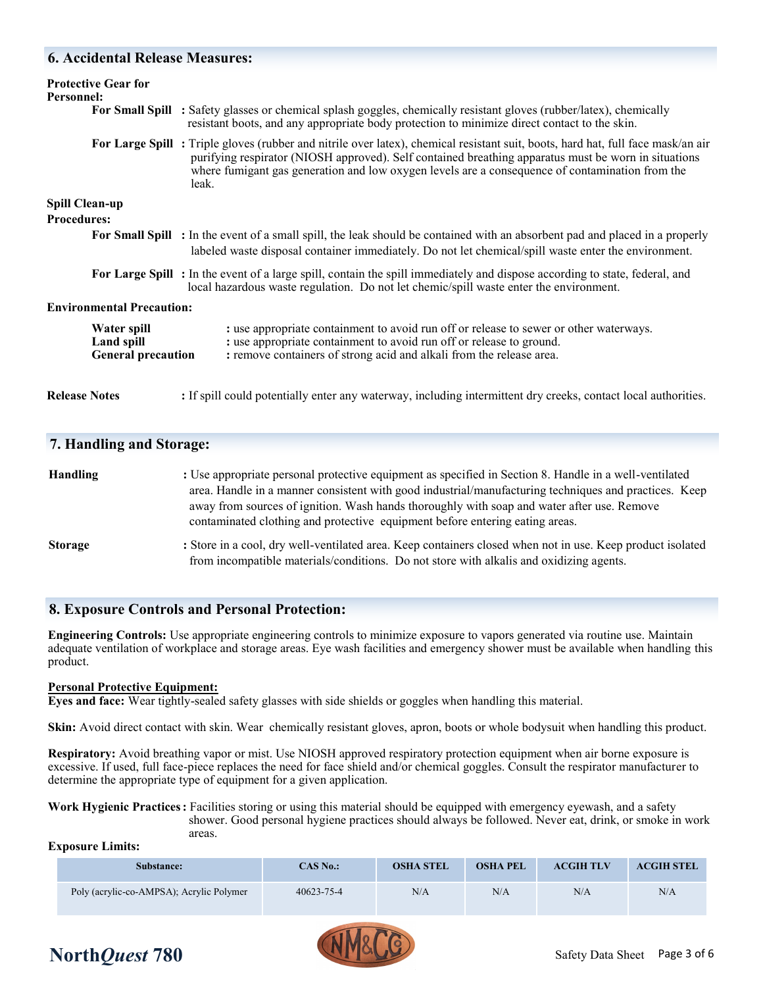#### **6. Accidental Release Measures:**

| <b>Personnel:</b>     | <b>Protective Gear for</b>                             |                                                                                                                                                                                                                                                                                                                                                     |
|-----------------------|--------------------------------------------------------|-----------------------------------------------------------------------------------------------------------------------------------------------------------------------------------------------------------------------------------------------------------------------------------------------------------------------------------------------------|
|                       |                                                        | For Small Spill : Safety glasses or chemical splash goggles, chemically resistant gloves (rubber/latex), chemically<br>resistant boots, and any appropriate body protection to minimize direct contact to the skin.                                                                                                                                 |
|                       |                                                        | For Large Spill: Triple gloves (rubber and nitrile over latex), chemical resistant suit, boots, hard hat, full face mask/an air<br>purifying respirator (NIOSH approved). Self contained breathing apparatus must be worn in situations<br>where fumigant gas generation and low oxygen levels are a consequence of contamination from the<br>leak. |
| <b>Spill Clean-up</b> |                                                        |                                                                                                                                                                                                                                                                                                                                                     |
| <b>Procedures:</b>    |                                                        |                                                                                                                                                                                                                                                                                                                                                     |
|                       |                                                        | For Small Spill : In the event of a small spill, the leak should be contained with an absorbent pad and placed in a properly<br>labeled waste disposal container immediately. Do not let chemical/spill waste enter the environment.                                                                                                                |
|                       |                                                        | For Large Spill: In the event of a large spill, contain the spill immediately and dispose according to state, federal, and<br>local hazardous waste regulation. Do not let chemic/spill waste enter the environment.                                                                                                                                |
|                       | <b>Environmental Precaution:</b>                       |                                                                                                                                                                                                                                                                                                                                                     |
|                       | Water spill<br>Land spill<br><b>General precaution</b> | : use appropriate containment to avoid run off or release to sewer or other waterways.<br>: use appropriate containment to avoid run off or release to ground.<br>: remove containers of strong acid and alkali from the release area.                                                                                                              |
| <b>Release Notes</b>  |                                                        | : If spill could potentially enter any waterway, including intermittent dry creeks, contact local authorities.                                                                                                                                                                                                                                      |
|                       |                                                        |                                                                                                                                                                                                                                                                                                                                                     |
|                       | 7. Handling and Storage:                               |                                                                                                                                                                                                                                                                                                                                                     |
| <b>Handling</b>       |                                                        | : Use appropriate personal protective equipment as specified in Section 8. Handle in a well-ventilated<br>area. Handle in a manner consistent with good industrial/manufacturing techniques and practices. Keep                                                                                                                                     |

- away from sources of ignition. Wash hands thoroughly with soap and water after use. Remove contaminated clothing and protective equipment before entering eating areas.
- **Storage** : Store in a cool, dry well-ventilated area. Keep containers closed when not in use. Keep product isolated from incompatible materials/conditions. Do not store with alkalis and oxidizing agents.

## **8. Exposure Controls and Personal Protection:**

**Engineering Controls:** Use appropriate engineering controls to minimize exposure to vapors generated via routine use. Maintain adequate ventilation of workplace and storage areas. Eye wash facilities and emergency shower must be available when handling this product.

## **Personal Protective Equipment:**

**Eyes and face:** Wear tightly-sealed safety glasses with side shields or goggles when handling this material.

**Skin:** Avoid direct contact with skin. Wear chemically resistant gloves, apron, boots or whole bodysuit when handling this product.

**Respiratory:** Avoid breathing vapor or mist. Use NIOSH approved respiratory protection equipment when air borne exposure is excessive. If used, full face-piece replaces the need for face shield and/or chemical goggles. Consult the respirator manufacturer to determine the appropriate type of equipment for a given application.

**Work Hygienic Practices:** Facilities storing or using this material should be equipped with emergency eyewash, and a safety shower. Good personal hygiene practices should always be followed. Never eat, drink, or smoke in work areas.

#### **Exposure Limits:**

| Substance:                               | $CAS$ No.: | <b>OSHA STEL</b> | <b>OSHA PEL</b> | <b>ACGIH TLV</b> | <b>ACGIH STEL</b> |
|------------------------------------------|------------|------------------|-----------------|------------------|-------------------|
| Poly (acrylic-co-AMPSA); Acrylic Polymer | 40623-75-4 | N/A              | N/A             | N/A              | N/A               |



# **North***Quest* 780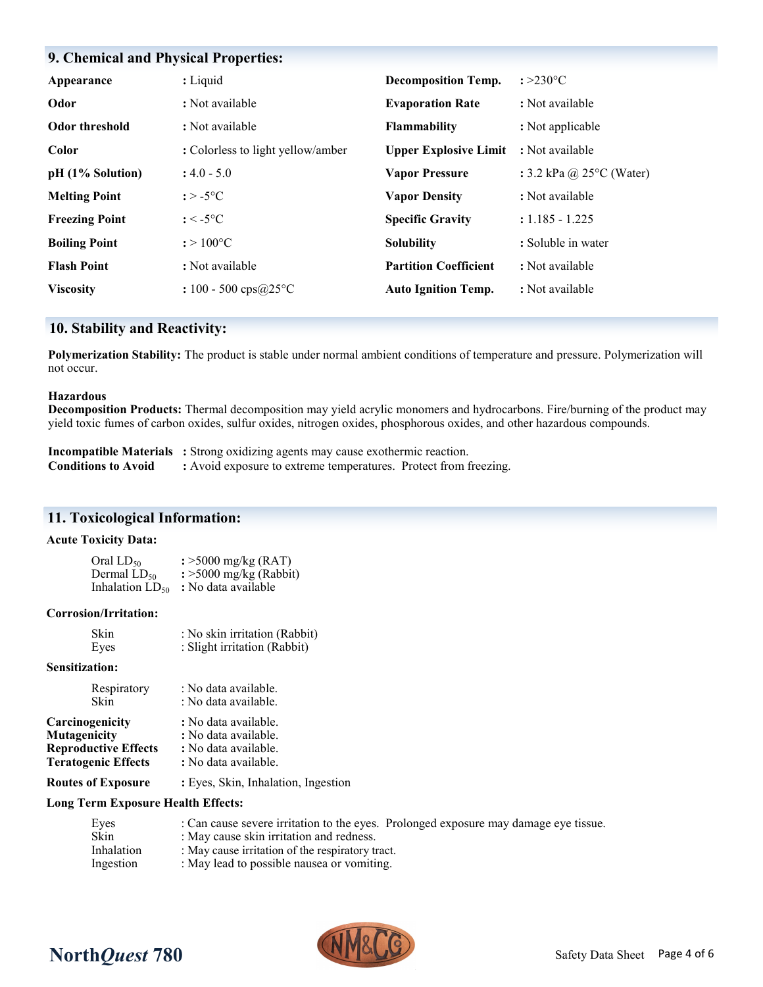| 9. Chemical and Physical Properties: |                                   |                              |                                    |
|--------------------------------------|-----------------------------------|------------------------------|------------------------------------|
| Appearance                           | : Liquid                          | <b>Decomposition Temp.</b>   | $: >230$ °C                        |
| Odor                                 | : Not available                   | <b>Evaporation Rate</b>      | : Not available                    |
| Odor threshold                       | : Not available                   | <b>Flammability</b>          | : Not applicable                   |
| Color                                | : Colorless to light yellow/amber | <b>Upper Explosive Limit</b> | : Not available                    |
| pH (1% Solution)                     | $: 4.0 - 5.0$                     | <b>Vapor Pressure</b>        | : 3.2 kPa @ $25^{\circ}$ C (Water) |
| <b>Melting Point</b>                 | $: > -5$ °C                       | <b>Vapor Density</b>         | : Not available                    |
| <b>Freezing Point</b>                | $: < -5$ °C                       | <b>Specific Gravity</b>      | $: 1.185 - 1.225$                  |
| <b>Boiling Point</b>                 | $: > 100^{\circ}C$                | <b>Solubility</b>            | : Soluble in water                 |
| <b>Flash Point</b>                   | : Not available                   | <b>Partition Coefficient</b> | : Not available                    |
| <b>Viscosity</b>                     | : 100 - 500 cps@25 °C             | <b>Auto Ignition Temp.</b>   | : Not available                    |

## **10. Stability and Reactivity:**

**Polymerization Stability:** The product is stable under normal ambient conditions of temperature and pressure. Polymerization will not occur.

#### **Hazardous**

**Decomposition Products:** Thermal decomposition may yield acrylic monomers and hydrocarbons. Fire/burning of the product may yield toxic fumes of carbon oxides, sulfur oxides, nitrogen oxides, phosphorous oxides, and other hazardous compounds.

**Incompatible Materials :** Strong oxidizing agents may cause exothermic reaction. **Conditions to Avoid :** Avoid exposure to extreme temperatures. Protect from freezing.

## **11. Toxicological Information:**

#### **Acute Toxicity Data:**

| Oral LD50                   | : $>5000$ mg/kg (RAT)      |
|-----------------------------|----------------------------|
| Dermal LD <sub>50</sub>     | $\div$ 5000 mg/kg (Rabbit) |
| Inhalation LD <sub>50</sub> | : No data available        |

#### **Corrosion/Irritation:**

| Skin | : No skin irritation (Rabbit) |
|------|-------------------------------|
| Eyes | : Slight irritation (Rabbit)  |

#### **Sensitization:**

| <b>Skin</b>                                                                                  | Respiratory | : No data available.<br>: No data available.                                                 |
|----------------------------------------------------------------------------------------------|-------------|----------------------------------------------------------------------------------------------|
| Carcinogenicity<br>Mutagenicity<br><b>Reproductive Effects</b><br><b>Teratogenic Effects</b> |             | : No data available.<br>: No data available.<br>: No data available.<br>: No data available. |

**Routes of Exposure :** Eyes, Skin, Inhalation, Ingestion

#### **Long Term Exposure Health Effects:**

| Eyes       | : Can cause severe irritation to the eyes. Prolonged exposure may damage eye tissue. |
|------------|--------------------------------------------------------------------------------------|
| Skin       | : May cause skin irritation and redness.                                             |
| Inhalation | : May cause irritation of the respiratory tract.                                     |
| Ingestion  | : May lead to possible nausea or vomiting.                                           |



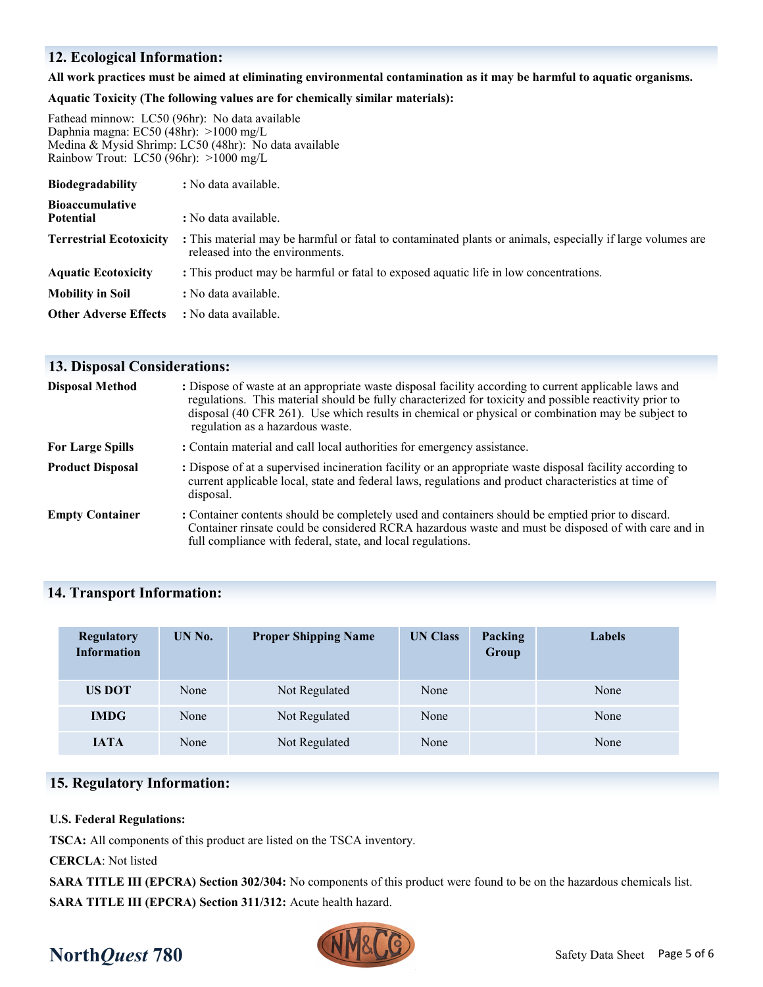## **12. Ecological Information:**

**All work practices must be aimed at eliminating environmental contamination as it may be harmful to aquatic organisms.**

**Aquatic Toxicity (The following values are for chemically similar materials):**

Fathead minnow: LC50 (96hr): No data available Daphnia magna: EC50 (48hr): >1000 mg/L Medina & Mysid Shrimp: LC50 (48hr): No data available Rainbow Trout: LC50 (96hr): >1000 mg/L

| <b>Biodegradability</b>                    | : No data available.                                                                                                                          |
|--------------------------------------------|-----------------------------------------------------------------------------------------------------------------------------------------------|
| <b>Bioaccumulative</b><br><b>Potential</b> | : No data available.                                                                                                                          |
| <b>Terrestrial Ecotoxicity</b>             | : This material may be harmful or fatal to contaminated plants or animals, especially if large volumes are<br>released into the environments. |
| <b>Aquatic Ecotoxicity</b>                 | : This product may be harmful or fatal to exposed aquatic life in low concentrations.                                                         |
| <b>Mobility in Soil</b>                    | : No data available.                                                                                                                          |
| <b>Other Adverse Effects</b>               | : No data available.                                                                                                                          |

## **13. Disposal Considerations:**

| <b>Disposal Method</b>  | : Dispose of waste at an appropriate waste disposal facility according to current applicable laws and<br>regulations. This material should be fully characterized for toxicity and possible reactivity prior to<br>disposal (40 CFR 261). Use which results in chemical or physical or combination may be subject to<br>regulation as a hazardous waste. |
|-------------------------|----------------------------------------------------------------------------------------------------------------------------------------------------------------------------------------------------------------------------------------------------------------------------------------------------------------------------------------------------------|
| <b>For Large Spills</b> | : Contain material and call local authorities for emergency assistance.                                                                                                                                                                                                                                                                                  |
| <b>Product Disposal</b> | : Dispose of at a supervised incineration facility or an appropriate waste disposal facility according to<br>current applicable local, state and federal laws, regulations and product characteristics at time of<br>disposal.                                                                                                                           |
| <b>Empty Container</b>  | : Container contents should be completely used and containers should be emptied prior to discard.<br>Container rinsate could be considered RCRA hazardous waste and must be disposed of with care and in<br>full compliance with federal, state, and local regulations.                                                                                  |

## **14. Transport Information:**

| <b>Regulatory</b><br><b>Information</b> | UN No. | <b>Proper Shipping Name</b> | <b>UN Class</b> | Packing<br>Group | <b>Labels</b> |
|-----------------------------------------|--------|-----------------------------|-----------------|------------------|---------------|
| <b>US DOT</b>                           | None   | Not Regulated               | None            |                  | None          |
| <b>IMDG</b>                             | None   | Not Regulated               | None            |                  | None          |
| <b>IATA</b>                             | None   | Not Regulated               | None            |                  | None          |

## **15. Regulatory Information:**

#### **U.S. Federal Regulations:**

**TSCA:** All components of this product are listed on the TSCA inventory.

**CERCLA**: Not listed

**SARA TITLE III (EPCRA) Section 302/304:** No components of this product were found to be on the hazardous chemicals list. **SARA TITLE III (EPCRA) Section 311/312:** Acute health hazard.